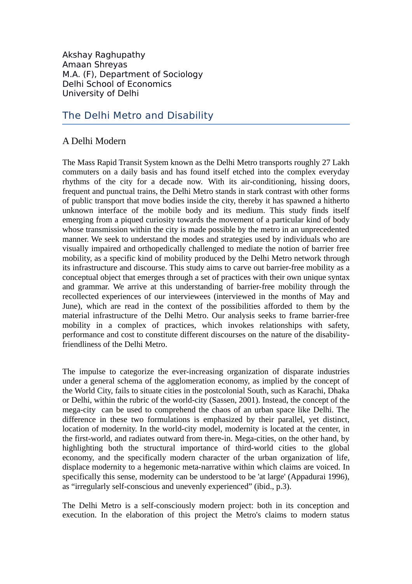Akshay Raghupathy Amaan Shreyas M.A. (F), Department of Sociology Delhi School of Economics University of Delhi

# The Delhi Metro and Disability

### A Delhi Modern

The Mass Rapid Transit System known as the Delhi Metro transports roughly 27 Lakh commuters on a daily basis and has found itself etched into the complex everyday rhythms of the city for a decade now. With its air-conditioning, hissing doors, frequent and punctual trains, the Delhi Metro stands in stark contrast with other forms of public transport that move bodies inside the city, thereby it has spawned a hitherto unknown interface of the mobile body and its medium. This study finds itself emerging from a piqued curiosity towards the movement of a particular kind of body whose transmission within the city is made possible by the metro in an unprecedented manner. We seek to understand the modes and strategies used by individuals who are visually impaired and orthopedically challenged to mediate the notion of barrier free mobility, as a specific kind of mobility produced by the Delhi Metro network through its infrastructure and discourse. This study aims to carve out barrier-free mobility as a conceptual object that emerges through a set of practices with their own unique syntax and grammar. We arrive at this understanding of barrier-free mobility through the recollected experiences of our interviewees (interviewed in the months of May and June), which are read in the context of the possibilities afforded to them by the material infrastructure of the Delhi Metro. Our analysis seeks to frame barrier-free mobility in a complex of practices, which invokes relationships with safety, performance and cost to constitute different discourses on the nature of the disabilityfriendliness of the Delhi Metro.

The impulse to categorize the ever-increasing organization of disparate industries under a general schema of the agglomeration economy, as implied by the concept of the World City, fails to situate cities in the postcolonial South, such as Karachi, Dhaka or Delhi, within the rubric of the world-city (Sassen, 2001). Instead, the concept of the mega-city can be used to comprehend the chaos of an urban space like Delhi. The difference in these two formulations is emphasized by their parallel, yet distinct, location of modernity. In the world-city model, modernity is located at the center, in the first-world, and radiates outward from there-in. Mega-cities, on the other hand, by highlighting both the structural importance of third-world cities to the global economy, and the specifically modern character of the urban organization of life, displace modernity to a hegemonic meta-narrative within which claims are voiced. In specifically this sense, modernity can be understood to be 'at large' (Appadurai 1996), as "irregularly self-conscious and unevenly experienced" (ibid., p.3).

The Delhi Metro is a self-consciously modern project: both in its conception and execution. In the elaboration of this project the Metro's claims to modern status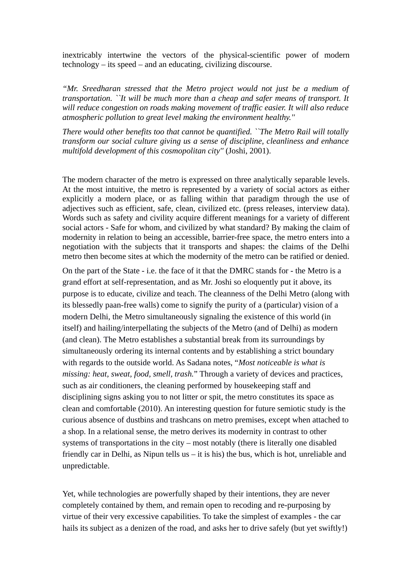inextricably intertwine the vectors of the physical-scientific power of modern technology – its speed – and an educating, civilizing discourse.

*"Mr. Sreedharan stressed that the Metro project would not just be a medium of transportation. ``It will be much more than a cheap and safer means of transport. It will reduce congestion on roads making movement of traffic easier. It will also reduce atmospheric pollution to great level making the environment healthy.''*

*There would other benefits too that cannot be quantified. ``The Metro Rail will totally transform our social culture giving us a sense of discipline, cleanliness and enhance multifold development of this cosmopolitan city''* (Joshi, 2001).

The modern character of the metro is expressed on three analytically separable levels. At the most intuitive, the metro is represented by a variety of social actors as either explicitly a modern place, or as falling within that paradigm through the use of adjectives such as efficient, safe, clean, civilized etc. (press releases, interview data). Words such as safety and civility acquire different meanings for a variety of different social actors - Safe for whom, and civilized by what standard? By making the claim of modernity in relation to being an accessible, barrier-free space, the metro enters into a negotiation with the subjects that it transports and shapes: the claims of the Delhi metro then become sites at which the modernity of the metro can be ratified or denied.

On the part of the State - i.e. the face of it that the DMRC stands for - the Metro is a grand effort at self-representation, and as Mr. Joshi so eloquently put it above, its purpose is to educate, civilize and teach. The cleanness of the Delhi Metro (along with its blessedly paan-free walls) come to signify the purity of a (particular) vision of a modern Delhi, the Metro simultaneously signaling the existence of this world (in itself) and hailing/interpellating the subjects of the Metro (and of Delhi) as modern (and clean). The Metro establishes a substantial break from its surroundings by simultaneously ordering its internal contents and by establishing a strict boundary with regards to the outside world. As Sadana notes, "*Most noticeable is what is missing: heat, sweat, food, smell, trash.*" Through a variety of devices and practices, such as air conditioners, the cleaning performed by housekeeping staff and disciplining signs asking you to not litter or spit, the metro constitutes its space as clean and comfortable (2010). An interesting question for future semiotic study is the curious absence of dustbins and trashcans on metro premises, except when attached to a shop. In a relational sense, the metro derives its modernity in contrast to other systems of transportations in the city – most notably (there is literally one disabled friendly car in Delhi, as Nipun tells us  $-$  it is his) the bus, which is hot, unreliable and unpredictable.

Yet, while technologies are powerfully shaped by their intentions, they are never completely contained by them, and remain open to recoding and re-purposing by virtue of their very excessive capabilities. To take the simplest of examples - the car hails its subject as a denizen of the road, and asks her to drive safely (but yet swiftly!)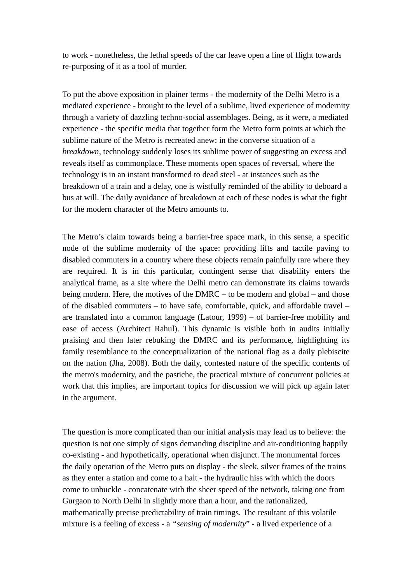to work - nonetheless, the lethal speeds of the car leave open a line of flight towards re-purposing of it as a tool of murder.

To put the above exposition in plainer terms - the modernity of the Delhi Metro is a mediated experience - brought to the level of a sublime, lived experience of modernity through a variety of dazzling techno-social assemblages. Being, as it were, a mediated experience - the specific media that together form the Metro form points at which the sublime nature of the Metro is recreated anew: in the converse situation of a *breakdown*, technology suddenly loses its sublime power of suggesting an excess and reveals itself as commonplace. These moments open spaces of reversal, where the technology is in an instant transformed to dead steel - at instances such as the breakdown of a train and a delay, one is wistfully reminded of the ability to deboard a bus at will. The daily avoidance of breakdown at each of these nodes is what the fight for the modern character of the Metro amounts to.

The Metro's claim towards being a barrier-free space mark, in this sense, a specific node of the sublime modernity of the space: providing lifts and tactile paving to disabled commuters in a country where these objects remain painfully rare where they are required. It is in this particular, contingent sense that disability enters the analytical frame, as a site where the Delhi metro can demonstrate its claims towards being modern. Here, the motives of the DMRC – to be modern and global – and those of the disabled commuters – to have safe, comfortable, quick, and affordable travel – are translated into a common language (Latour, 1999) – of barrier-free mobility and ease of access (Architect Rahul). This dynamic is visible both in audits initially praising and then later rebuking the DMRC and its performance, highlighting its family resemblance to the conceptualization of the national flag as a daily plebiscite on the nation (Jha, 2008). Both the daily, contested nature of the specific contents of the metro's modernity, and the pastiche, the practical mixture of concurrent policies at work that this implies, are important topics for discussion we will pick up again later in the argument.

The question is more complicated than our initial analysis may lead us to believe: the question is not one simply of signs demanding discipline and air-conditioning happily co-existing - and hypothetically, operational when disjunct. The monumental forces the daily operation of the Metro puts on display - the sleek, silver frames of the trains as they enter a station and come to a halt - the hydraulic hiss with which the doors come to unbuckle - concatenate with the sheer speed of the network, taking one from Gurgaon to North Delhi in slightly more than a hour, and the rationalized, mathematically precise predictability of train timings. The resultant of this volatile mixture is a feeling of excess - a *"sensing of modernity*" - a lived experience of a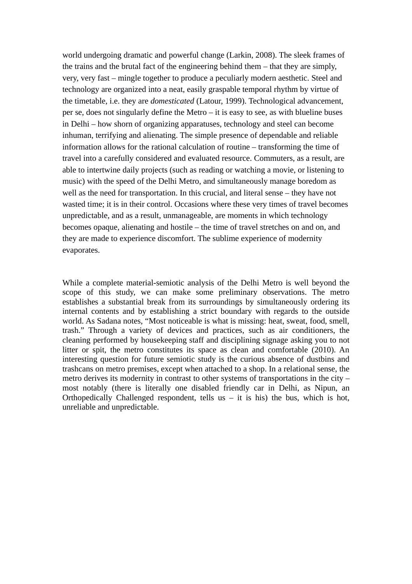world undergoing dramatic and powerful change (Larkin, 2008). The sleek frames of the trains and the brutal fact of the engineering behind them – that they are simply, very, very fast – mingle together to produce a peculiarly modern aesthetic. Steel and technology are organized into a neat, easily graspable temporal rhythm by virtue of the timetable, i.e. they are *domesticated* (Latour, 1999). Technological advancement, per se, does not singularly define the Metro  $-$  it is easy to see, as with blueline buses in Delhi – how shorn of organizing apparatuses, technology and steel can become inhuman, terrifying and alienating. The simple presence of dependable and reliable information allows for the rational calculation of routine – transforming the time of travel into a carefully considered and evaluated resource. Commuters, as a result, are able to intertwine daily projects (such as reading or watching a movie, or listening to music) with the speed of the Delhi Metro, and simultaneously manage boredom as well as the need for transportation. In this crucial, and literal sense – they have not wasted time; it is in their control. Occasions where these very times of travel becomes unpredictable, and as a result, unmanageable, are moments in which technology becomes opaque, alienating and hostile – the time of travel stretches on and on, and they are made to experience discomfort. The sublime experience of modernity evaporates.

While a complete material-semiotic analysis of the Delhi Metro is well beyond the scope of this study, we can make some preliminary observations. The metro establishes a substantial break from its surroundings by simultaneously ordering its internal contents and by establishing a strict boundary with regards to the outside world. As Sadana notes, "Most noticeable is what is missing: heat, sweat, food, smell, trash." Through a variety of devices and practices, such as air conditioners, the cleaning performed by housekeeping staff and disciplining signage asking you to not litter or spit, the metro constitutes its space as clean and comfortable (2010). An interesting question for future semiotic study is the curious absence of dustbins and trashcans on metro premises, except when attached to a shop. In a relational sense, the metro derives its modernity in contrast to other systems of transportations in the city – most notably (there is literally one disabled friendly car in Delhi, as Nipun, an Orthopedically Challenged respondent, tells us  $-$  it is his) the bus, which is hot, unreliable and unpredictable.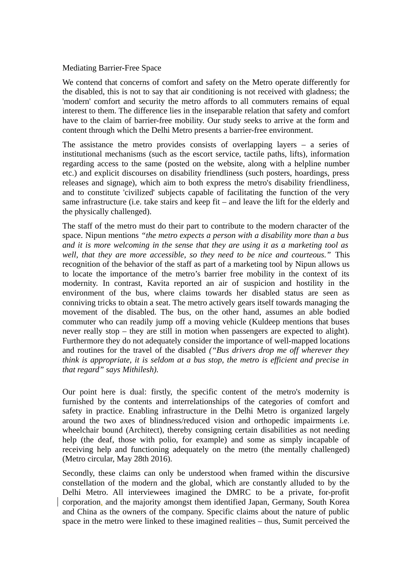#### Mediating Barrier-Free Space

We contend that concerns of comfort and safety on the Metro operate differently for the disabled, this is not to say that air conditioning is not received with gladness; the 'modern' comfort and security the metro affords to all commuters remains of equal interest to them. The difference lies in the inseparable relation that safety and comfort have to the claim of barrier-free mobility. Our study seeks to arrive at the form and content through which the Delhi Metro presents a barrier-free environment.

The assistance the metro provides consists of overlapping layers  $-$  a series of institutional mechanisms (such as the escort service, tactile paths, lifts), information regarding access to the same (posted on the website, along with a helpline number etc.) and explicit discourses on disability friendliness (such posters, hoardings, press releases and signage), which aim to both express the metro's disability friendliness, and to constitute 'civilized' subjects capable of facilitating the function of the very same infrastructure (i.e. take stairs and keep fit – and leave the lift for the elderly and the physically challenged).

The staff of the metro must do their part to contribute to the modern character of the space. Nipun mentions *"the metro expects a person with a disability more than a bus and it is more welcoming in the sense that they are using it as a marketing tool as well, that they are more accessible, so they need to be nice and courteous."* This recognition of the behavior of the staff as part of a marketing tool by Nipun allows us to locate the importance of the metro's barrier free mobility in the context of its modernity. In contrast, Kavita reported an air of suspicion and hostility in the environment of the bus, where claims towards her disabled status are seen as conniving tricks to obtain a seat. The metro actively gears itself towards managing the movement of the disabled. The bus, on the other hand, assumes an able bodied commuter who can readily jump off a moving vehicle (Kuldeep mentions that buses never really stop – they are still in motion when passengers are expected to alight). Furthermore they do not adequately consider the importance of well-mapped locations and routines for the travel of the disabled *("Bus drivers drop me off wherever they think is appropriate, it is seldom at a bus stop, the metro is efficient and precise in that regard" says Mithilesh).*

Our point here is dual: firstly, the specific content of the metro's modernity is furnished by the contents and interrelationships of the categories of comfort and safety in practice. Enabling infrastructure in the Delhi Metro is organized largely around the two axes of blindness/reduced vision and orthopedic impairments i.e. wheelchair bound (Architect), thereby consigning certain disabilities as not needing help (the deaf, those with polio, for example) and some as simply incapable of receiving help and functioning adequately on the metro (the mentally challenged) (Metro circular, May 28th 2016).

Secondly, these claims can only be understood when framed within the discursive constellation of the modern and the global, which are constantly alluded to by the Delhi Metro. All interviewees imagined the DMRC to be a private, for-profit corporation, and the majority amongst them identified Japan, Germany, South Korea and China as the owners of the company. Specific claims about the nature of public space in the metro were linked to these imagined realities – thus, Sumit perceived the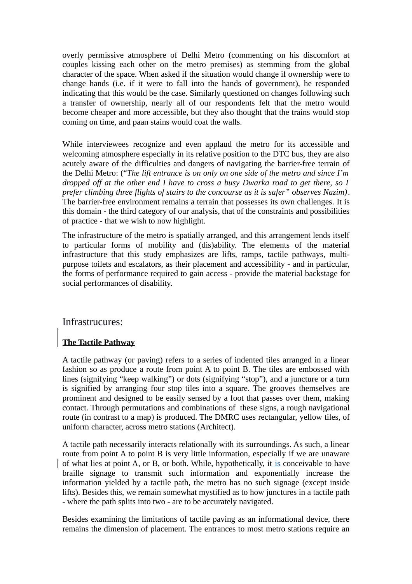overly permissive atmosphere of Delhi Metro (commenting on his discomfort at couples kissing each other on the metro premises) as stemming from the global character of the space. When asked if the situation would change if ownership were to change hands (i.e. if it were to fall into the hands of government), he responded indicating that this would be the case. Similarly questioned on changes following such a transfer of ownership, nearly all of our respondents felt that the metro would become cheaper and more accessible, but they also thought that the trains would stop coming on time, and paan stains would coat the walls.

While interviewees recognize and even applaud the metro for its accessible and welcoming atmosphere especially in its relative position to the DTC bus, they are also acutely aware of the difficulties and dangers of navigating the barrier-free terrain of the Delhi Metro: ("*The lift entrance is on only on one side of the metro and since I'm dropped off at the other end I have to cross a busy Dwarka road to get there, so I prefer climbing three flights of stairs to the concourse as it is safer" observes Nazim)*. The barrier-free environment remains a terrain that possesses its own challenges. It is this domain - the third category of our analysis, that of the constraints and possibilities of practice - that we wish to now highlight.

The infrastructure of the metro is spatially arranged, and this arrangement lends itself to particular forms of mobility and (dis)ability. The elements of the material infrastructure that this study emphasizes are lifts, ramps, tactile pathways, multipurpose toilets and escalators, as their placement and accessibility - and in particular, the forms of performance required to gain access - provide the material backstage for social performances of disability.

### Infrastrucures:

### **The Tactile Pathway**

A tactile pathway (or paving) refers to a series of indented tiles arranged in a linear fashion so as produce a route from point A to point B. The tiles are embossed with lines (signifying "keep walking") or dots (signifying "stop"), and a juncture or a turn is signified by arranging four stop tiles into a square. The grooves themselves are prominent and designed to be easily sensed by a foot that passes over them, making contact. Through permutations and combinations of these signs, a rough navigational route (in contrast to a map) is produced. The DMRC uses rectangular, yellow tiles, of uniform character, across metro stations (Architect).

A tactile path necessarily interacts relationally with its surroundings. As such, a linear route from point A to point B is very little information, especially if we are unaware of what lies at point A, or B, or both. While, hypothetically, it is conceivable to have braille signage to transmit such information and exponentially increase the information yielded by a tactile path, the metro has no such signage (except inside lifts). Besides this, we remain somewhat mystified as to how junctures in a tactile path - where the path splits into two - are to be accurately navigated.

Besides examining the limitations of tactile paving as an informational device, there remains the dimension of placement. The entrances to most metro stations require an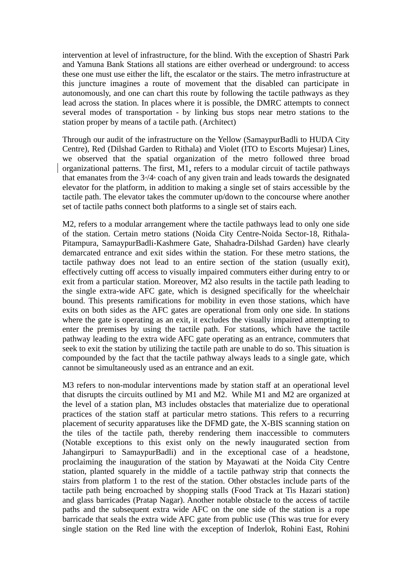intervention at level of infrastructure, for the blind. With the exception of Shastri Park and Yamuna Bank Stations all stations are either overhead or underground: to access these one must use either the lift, the escalator or the stairs. The metro infrastructure at this juncture imagines a route of movement that the disabled can participate in autonomously, and one can chart this route by following the tactile pathways as they lead across the station. In places where it is possible, the DMRC attempts to connect several modes of transportation - by linking bus stops near metro stations to the station proper by means of a tactile path. (Architect)

Through our audit of the infrastructure on the Yellow (SamaypurBadli to HUDA City Centre), Red (Dilshad Garden to Rithala) and Violet (ITO to Escorts Mujesar) Lines, we observed that the spatial organization of the metro followed three broad organizational patterns. The first, M1, refers to a modular circuit of tactile pathways that emanates from the  $3\frac{d}{4}$  coach of any given train and leads towards the designated elevator for the platform, in addition to making a single set of stairs accessible by the tactile path. The elevator takes the commuter up/down to the concourse where another set of tactile paths connect both platforms to a single set of stairs each.

M2, refers to a modular arrangement where the tactile pathways lead to only one side of the station. Certain metro stations (Noida City Centre-Noida Sector-18, Rithala-Pitampura, SamaypurBadli-Kashmere Gate, Shahadra-Dilshad Garden) have clearly demarcated entrance and exit sides within the station. For these metro stations, the tactile pathway does not lead to an entire section of the station (usually exit), effectively cutting off access to visually impaired commuters either during entry to or exit from a particular station. Moreover, M2 also results in the tactile path leading to the single extra-wide AFC gate, which is designed specifically for the wheelchair bound. This presents ramifications for mobility in even those stations, which have exits on both sides as the AFC gates are operational from only one side. In stations where the gate is operating as an exit, it excludes the visually impaired attempting to enter the premises by using the tactile path. For stations, which have the tactile pathway leading to the extra wide AFC gate operating as an entrance, commuters that seek to exit the station by utilizing the tactile path are unable to do so. This situation is compounded by the fact that the tactile pathway always leads to a single gate, which cannot be simultaneously used as an entrance and an exit.

M3 refers to non-modular interventions made by station staff at an operational level that disrupts the circuits outlined by M1 and M2. While M1 and M2 are organized at the level of a station plan, M3 includes obstacles that materialize due to operational practices of the station staff at particular metro stations. This refers to a recurring placement of security apparatuses like the DFMD gate, the X-BIS scanning station on the tiles of the tactile path, thereby rendering them inaccessible to commuters (Notable exceptions to this exist only on the newly inaugurated section from Jahangirpuri to SamaypurBadli) and in the exceptional case of a headstone, proclaiming the inauguration of the station by Mayawati at the Noida City Centre station, planted squarely in the middle of a tactile pathway strip that connects the stairs from platform 1 to the rest of the station. Other obstacles include parts of the tactile path being encroached by shopping stalls (Food Track at Tis Hazari station) and glass barricades (Pratap Nagar). Another notable obstacle to the access of tactile paths and the subsequent extra wide AFC on the one side of the station is a rope barricade that seals the extra wide AFC gate from public use (This was true for every single station on the Red line with the exception of Inderlok, Rohini East, Rohini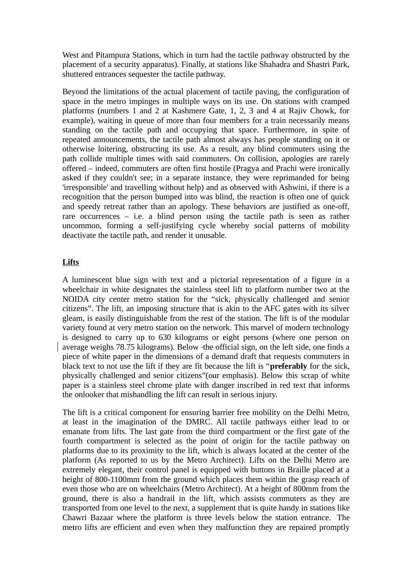West and Pitampura Stations, which in turn had the tactile pathway obstructed by the placement of a security apparatus). Finally, at stations like Shahadra and Shastri Park, shuttered entrances sequester the tactile pathway.

Beyond the limitations of the actual placement of tactile paving, the configuration of space in the metro impinges in multiple ways on its use. On stations with cramped platforms (numbers 1 and 2 at Kashmere Gate, 1, 2, 3 and 4 at Rajiv Chowk, for example), waiting in queue of more than four members for a train necessarily means standing on the tactile path and occupying that space. Furthermore, in spite of repeated announcements, the tactile path almost always has people standing on it or otherwise loitering, obstructing its use. As a result, any blind commuters using the path collide multiple times with said commuters. On collision, apologies are rarely offered – indeed, commuters are often first hostile (Pragya and Prachi were ironically asked if they couldn't see; in a separate instance, they were reprimanded for being 'irresponsible' and travelling without help) and as observed with Ashwini, if there is a recognition that the person bumped into was blind, the reaction is often one of quick and speedy retreat rather than an apology. These behaviors are justified as one-off, rare occurrences  $-$  i.e. a blind person using the tactile path is seen as rather uncommon, forming a self-justifying cycle whereby social patterns of mobility deactivate the tactile path, and render it unusable.

#### **Lifts**

A luminescent blue sign with text and a pictorial representation of a figure in a wheelchair in white designates the stainless steel lift to platform number two at the NOIDA city center metro station for the "sick, physically challenged and senior citizens". The lift, an imposing structure that is akin to the AFC gates with its silver gleam, is easily distinguishable from the rest of the station. The lift is of the modular variety found at very metro station on the network. This marvel of modern technology is designed to carry up to 630 kilograms or eight persons (where one person on average weighs 78.75 kilograms). Below the official sign, on the left side, one finds a piece of white paper in the dimensions of a demand draft that requests commuters in black text to not use the lift if they are fit because the lift is "**preferably** for the sick, physically challenged and senior citizens"(our emphasis). Below this scrap of white paper is a stainless steel chrome plate with danger inscribed in red text that informs the onlooker that mishandling the lift can result in serious injury.

The lift is a critical component for ensuring barrier free mobility on the Delhi Metro, at least in the imagination of the DMRC. All tactile pathways either lead to or emanate from lifts. The last gate from the third compartment or the first gate of the fourth compartment is selected as the point of origin for the tactile pathway on platforms due to its proximity to the lift, which is always located at the center of the platform (As reported to us by the Metro Architect). Lifts on the Delhi Metro are extremely elegant, their control panel is equipped with buttons in Braille placed at a height of 800-1100mm from the ground which places them within the grasp reach of even those who are on wheelchairs (Metro Architect). At a height of 800mm from the ground, there is also a handrail in the lift, which assists commuters as they are transported from one level to the next, a supplement that is quite handy in stations like Chawri Bazaar where the platform is three levels below the station entrance. The metro lifts are efficient and even when they malfunction they are repaired promptly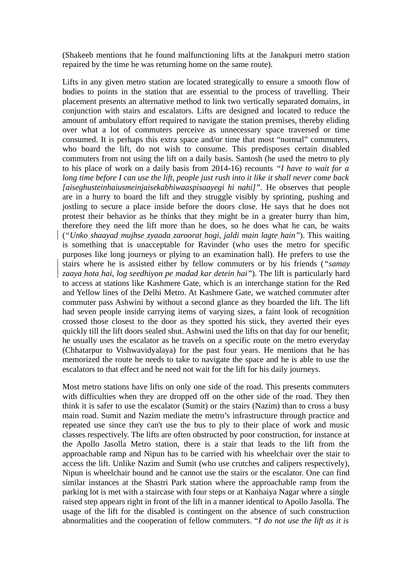(Shakeeb mentions that he found malfunctioning lifts at the Janakpuri metro station repaired by the time he was returning home on the same route).

Lifts in any given metro station are located strategically to ensure a smooth flow of bodies to points in the station that are essential to the process of travelling. Their placement presents an alternative method to link two vertically separated domains, in conjunction with stairs and escalators. Lifts are designed and located to reduce the amount of ambulatory effort required to navigate the station premises, thereby eliding over what a lot of commuters perceive as unnecessary space traversed or time consumed. It is perhaps this extra space and/or time that most "normal" commuters, who board the lift, do not wish to consume. This predisposes certain disabled commuters from not using the lift on a daily basis. Santosh (he used the metro to ply to his place of work on a daily basis from 2014-16) recounts *"I have to wait for a long time before I can use the lift, people just rush into it like it shall never come back [aiseghusteinhaiusmeinjaisekabhiwaaspisaayegi hi nahi]".* He observes that people are in a hurry to board the lift and they struggle visibly by sprinting, pushing and jostling to secure a place inside before the doors close. He says that he does not protest their behavior as he thinks that they might be in a greater hurry than him, therefore they need the lift more than he does, so he does what he can, he waits (*"Unko shaayad mujhse zyaada zaroorat hogi, jaldi main lagte hain"*). This waiting is something that is unacceptable for Ravinder (who uses the metro for specific purposes like long journeys or plying to an examination hall). He prefers to use the stairs where he is assisted either by fellow commuters or by his friends (*"samay zaaya hota hai, log seedhiyon pe madad kar detein hai"*). The lift is particularly hard to access at stations like Kashmere Gate, which is an interchange station for the Red and Yellow lines of the Delhi Metro. At Kashmere Gate, we watched commuter after commuter pass Ashwini by without a second glance as they boarded the lift. The lift had seven people inside carrying items of varying sizes, a faint look of recognition crossed those closest to the door as they spotted his stick, they averted their eyes quickly till the lift doors sealed shut. Ashwini used the lifts on that day for our benefit; he usually uses the escalator as he travels on a specific route on the metro everyday (Chhatarpur to Vishwavidyalaya) for the past four years. He mentions that he has memorized the route he needs to take to navigate the space and he is able to use the escalators to that effect and he need not wait for the lift for his daily journeys.

Most metro stations have lifts on only one side of the road. This presents commuters with difficulties when they are dropped off on the other side of the road. They then think it is safer to use the escalator (Sumit) or the stairs (Nazim) than to cross a busy main road. Sumit and Nazim mediate the metro's infrastructure through practice and repeated use since they can't use the bus to ply to their place of work and music classes respectively. The lifts are often obstructed by poor construction, for instance at the Apollo Jasolla Metro station, there is a stair that leads to the lift from the approachable ramp and Nipun has to be carried with his wheelchair over the stair to access the lift. Unlike Nazim and Sumit (who use crutches and calipers respectively), Nipun is wheelchair bound and he cannot use the stairs or the escalator. One can find similar instances at the Shastri Park station where the approachable ramp from the parking lot is met with a staircase with four steps or at Kanhaiya Nagar where a single raised step appears right in front of the lift in a manner identical to Apollo Jasolla. The usage of the lift for the disabled is contingent on the absence of such construction abnormalities and the cooperation of fellow commuters. "*I do not use the lift as it is*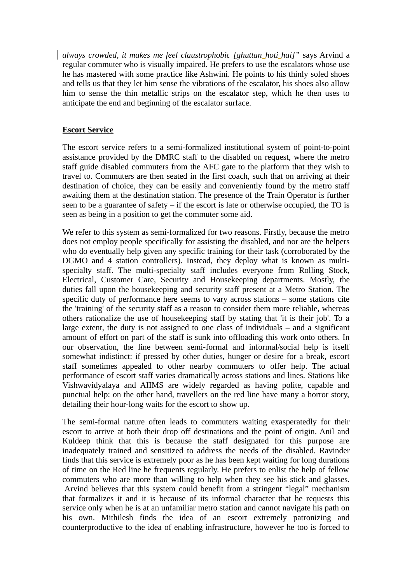*always crowded, it makes me feel claustrophobic [ghuttan hoti hai]"* says Arvind a regular commuter who is visually impaired. He prefers to use the escalators whose use he has mastered with some practice like Ashwini. He points to his thinly soled shoes and tells us that they let him sense the vibrations of the escalator, his shoes also allow him to sense the thin metallic strips on the escalator step, which he then uses to anticipate the end and beginning of the escalator surface.

#### **Escort Service**

The escort service refers to a semi-formalized institutional system of point-to-point assistance provided by the DMRC staff to the disabled on request, where the metro staff guide disabled commuters from the AFC gate to the platform that they wish to travel to. Commuters are then seated in the first coach, such that on arriving at their destination of choice, they can be easily and conveniently found by the metro staff awaiting them at the destination station. The presence of the Train Operator is further seen to be a guarantee of safety  $-$  if the escort is late or otherwise occupied, the TO is seen as being in a position to get the commuter some aid.

We refer to this system as semi-formalized for two reasons. Firstly, because the metro does not employ people specifically for assisting the disabled, and nor are the helpers who do eventually help given any specific training for their task (corroborated by the DGMO and 4 station controllers). Instead, they deploy what is known as multispecialty staff. The multi-specialty staff includes everyone from Rolling Stock, Electrical, Customer Care, Security and Housekeeping departments. Mostly, the duties fall upon the housekeeping and security staff present at a Metro Station. The specific duty of performance here seems to vary across stations – some stations cite the 'training' of the security staff as a reason to consider them more reliable, whereas others rationalize the use of housekeeping staff by stating that 'it is their job'. To a large extent, the duty is not assigned to one class of individuals – and a significant amount of effort on part of the staff is sunk into offloading this work onto others. In our observation, the line between semi-formal and informal/social help is itself somewhat indistinct: if pressed by other duties, hunger or desire for a break, escort staff sometimes appealed to other nearby commuters to offer help. The actual performance of escort staff varies dramatically across stations and lines. Stations like Vishwavidyalaya and AIIMS are widely regarded as having polite, capable and punctual help: on the other hand, travellers on the red line have many a horror story, detailing their hour-long waits for the escort to show up.

The semi-formal nature often leads to commuters waiting exasperatedly for their escort to arrive at both their drop off destinations and the point of origin. Anil and Kuldeep think that this is because the staff designated for this purpose are inadequately trained and sensitized to address the needs of the disabled. Ravinder finds that this service is extremely poor as he has been kept waiting for long durations of time on the Red line he frequents regularly. He prefers to enlist the help of fellow commuters who are more than willing to help when they see his stick and glasses. Arvind believes that this system could benefit from a stringent "legal" mechanism that formalizes it and it is because of its informal character that he requests this service only when he is at an unfamiliar metro station and cannot navigate his path on his own. Mithilesh finds the idea of an escort extremely patronizing and counterproductive to the idea of enabling infrastructure, however he too is forced to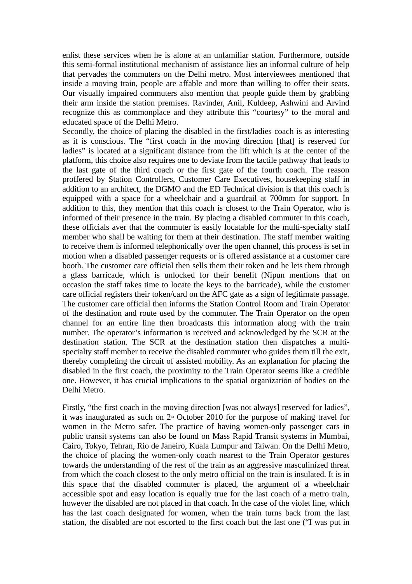enlist these services when he is alone at an unfamiliar station. Furthermore, outside this semi-formal institutional mechanism of assistance lies an informal culture of help that pervades the commuters on the Delhi metro. Most interviewees mentioned that inside a moving train, people are affable and more than willing to offer their seats. Our visually impaired commuters also mention that people guide them by grabbing their arm inside the station premises. Ravinder, Anil, Kuldeep, Ashwini and Arvind recognize this as commonplace and they attribute this "courtesy" to the moral and educated space of the Delhi Metro.

Secondly, the choice of placing the disabled in the first/ladies coach is as interesting as it is conscious. The "first coach in the moving direction [that] is reserved for ladies" is located at a significant distance from the lift which is at the center of the platform, this choice also requires one to deviate from the tactile pathway that leads to the last gate of the third coach or the first gate of the fourth coach. The reason proffered by Station Controllers, Customer Care Executives, housekeeping staff in addition to an architect, the DGMO and the ED Technical division is that this coach is equipped with a space for a wheelchair and a guardrail at 700mm for support. In addition to this, they mention that this coach is closest to the Train Operator, who is informed of their presence in the train. By placing a disabled commuter in this coach, these officials aver that the commuter is easily locatable for the multi-specialty staff member who shall be waiting for them at their destination. The staff member waiting to receive them is informed telephonically over the open channel, this process is set in motion when a disabled passenger requests or is offered assistance at a customer care booth. The customer care official then sells them their token and he lets them through a glass barricade, which is unlocked for their benefit (Nipun mentions that on occasion the staff takes time to locate the keys to the barricade), while the customer care official registers their token/card on the AFC gate as a sign of legitimate passage. The customer care official then informs the Station Control Room and Train Operator of the destination and route used by the commuter. The Train Operator on the open channel for an entire line then broadcasts this information along with the train number. The operator's information is received and acknowledged by the SCR at the destination station. The SCR at the destination station then dispatches a multispecialty staff member to receive the disabled commuter who guides them till the exit, thereby completing the circuit of assisted mobility. As an explanation for placing the disabled in the first coach, the proximity to the Train Operator seems like a credible one. However, it has crucial implications to the spatial organization of bodies on the Delhi Metro.

Firstly, "the first coach in the moving direction [was not always] reserved for ladies", it was inaugurated as such on  $2<sup>nd</sup>$  October 2010 for the purpose of making travel for women in the Metro safer. The practice of having women-only passenger cars in public transit systems can also be found on Mass Rapid Transit systems in Mumbai, Cairo, Tokyo, Tehran, Rio de Janeiro, Kuala Lumpur and Taiwan. On the Delhi Metro, the choice of placing the women-only coach nearest to the Train Operator gestures towards the understanding of the rest of the train as an aggressive masculinized threat from which the coach closest to the only metro official on the train is insulated. It is in this space that the disabled commuter is placed, the argument of a wheelchair accessible spot and easy location is equally true for the last coach of a metro train, however the disabled are not placed in that coach. In the case of the violet line, which has the last coach designated for women, when the train turns back from the last station, the disabled are not escorted to the first coach but the last one ("I was put in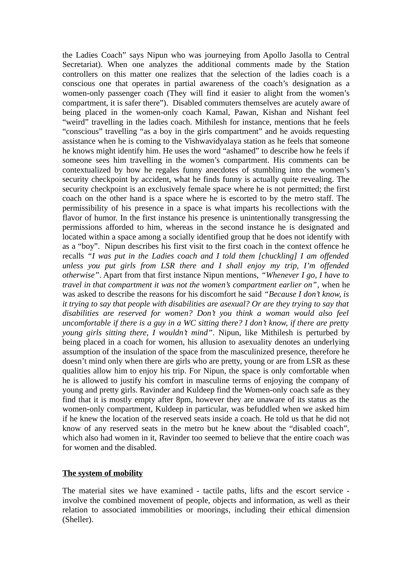the Ladies Coach" says Nipun who was journeying from Apollo Jasolla to Central Secretariat). When one analyzes the additional comments made by the Station controllers on this matter one realizes that the selection of the ladies coach is a conscious one that operates in partial awareness of the coach's designation as a women-only passenger coach (They will find it easier to alight from the women's compartment, it is safer there"). Disabled commuters themselves are acutely aware of being placed in the women-only coach Kamal, Pawan, Kishan and Nishant feel "weird" travelling in the ladies coach. Mithilesh for instance, mentions that he feels "conscious" travelling "as a boy in the girls compartment" and he avoids requesting assistance when he is coming to the Vishwavidyalaya station as he feels that someone he knows might identify him. He uses the word "ashamed" to describe how he feels if someone sees him travelling in the women's compartment. His comments can be contextualized by how he regales funny anecdotes of stumbling into the women's security checkpoint by accident, what he finds funny is actually quite revealing. The security checkpoint is an exclusively female space where he is not permitted; the first coach on the other hand is a space where he is escorted to by the metro staff. The permissibility of his presence in a space is what imparts his recollections with the flavor of humor. In the first instance his presence is unintentionally transgressing the permissions afforded to him, whereas in the second instance he is designated and located within a space among a socially identified group that he does not identify with as a "boy". Nipun describes his first visit to the first coach in the context offence he recalls *"I was put in the Ladies coach and I told them [chuckling] I am offended unless you put girls from LSR there and I shall enjoy my trip, I'm offended otherwise"*. Apart from that first instance Nipun mentions, *"Whenever I go, I have to travel in that compartment it was not the women's compartment earlier on"*, when he was asked to describe the reasons for his discomfort he said *"Because I don't know, is it trying to say that people with disabilities are asexual? Or are they trying to say that disabilities are reserved for women? Don't you think a woman would also feel uncomfortable if there is a guy in a WC sitting there? I don't know, if there are pretty young girls sitting there, I wouldn't mind"*. Nipun, like Mithilesh is perturbed by being placed in a coach for women, his allusion to asexuality denotes an underlying assumption of the insulation of the space from the masculinized presence, therefore he doesn't mind only when there are girls who are pretty, young or are from LSR as these qualities allow him to enjoy his trip. For Nipun, the space is only comfortable when he is allowed to justify his comfort in masculine terms of enjoying the company of young and pretty girls. Ravinder and Kuldeep find the Women-only coach safe as they find that it is mostly empty after 8pm, however they are unaware of its status as the women-only compartment, Kuldeep in particular, was befuddled when we asked him if he knew the location of the reserved seats inside a coach. He told us that he did not know of any reserved seats in the metro but he knew about the "disabled coach", which also had women in it, Ravinder too seemed to believe that the entire coach was for women and the disabled.

### **The system of mobility**

The material sites we have examined - tactile paths, lifts and the escort service involve the combined movement of people, objects and information, as well as their relation to associated immobilities or moorings, including their ethical dimension (Sheller).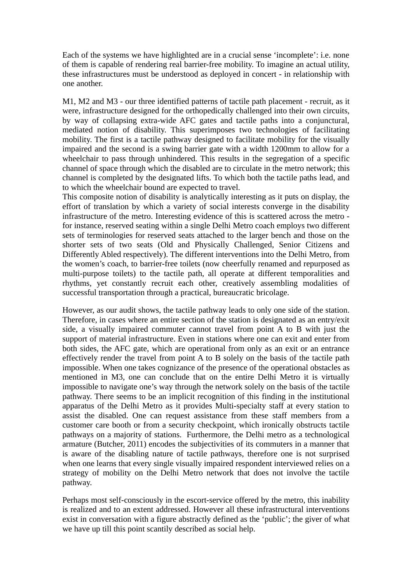Each of the systems we have highlighted are in a crucial sense 'incomplete': i.e. none of them is capable of rendering real barrier-free mobility. To imagine an actual utility, these infrastructures must be understood as deployed in concert - in relationship with one another.

M1, M2 and M3 - our three identified patterns of tactile path placement - recruit, as it were, infrastructure designed for the orthopedically challenged into their own circuits, by way of collapsing extra-wide AFC gates and tactile paths into a conjunctural, mediated notion of disability. This superimposes two technologies of facilitating mobility. The first is a tactile pathway designed to facilitate mobility for the visually impaired and the second is a swing barrier gate with a width 1200mm to allow for a wheelchair to pass through unhindered. This results in the segregation of a specific channel of space through which the disabled are to circulate in the metro network; this channel is completed by the designated lifts. To which both the tactile paths lead, and to which the wheelchair bound are expected to travel.

This composite notion of disability is analytically interesting as it puts on display, the effort of translation by which a variety of social interests converge in the disability infrastructure of the metro. Interesting evidence of this is scattered across the metro for instance, reserved seating within a single Delhi Metro coach employs two different sets of terminologies for reserved seats attached to the larger bench and those on the shorter sets of two seats (Old and Physically Challenged, Senior Citizens and Differently Abled respectively). The different interventions into the Delhi Metro, from the women's coach, to barrier-free toilets (now cheerfully renamed and repurposed as multi-purpose toilets) to the tactile path, all operate at different temporalities and rhythms, yet constantly recruit each other, creatively assembling modalities of successful transportation through a practical, bureaucratic bricolage.

However, as our audit shows, the tactile pathway leads to only one side of the station. Therefore, in cases where an entire section of the station is designated as an entry/exit side, a visually impaired commuter cannot travel from point A to B with just the support of material infrastructure. Even in stations where one can exit and enter from both sides, the AFC gate, which are operational from only as an exit or an entrance effectively render the travel from point A to B solely on the basis of the tactile path impossible. When one takes cognizance of the presence of the operational obstacles as mentioned in M3, one can conclude that on the entire Delhi Metro it is virtually impossible to navigate one's way through the network solely on the basis of the tactile pathway. There seems to be an implicit recognition of this finding in the institutional apparatus of the Delhi Metro as it provides Multi-specialty staff at every station to assist the disabled. One can request assistance from these staff members from a customer care booth or from a security checkpoint, which ironically obstructs tactile pathways on a majority of stations. Furthermore, the Delhi metro as a technological armature (Butcher, 2011) encodes the subjectivities of its commuters in a manner that is aware of the disabling nature of tactile pathways, therefore one is not surprised when one learns that every single visually impaired respondent interviewed relies on a strategy of mobility on the Delhi Metro network that does not involve the tactile pathway.

Perhaps most self-consciously in the escort-service offered by the metro, this inability is realized and to an extent addressed. However all these infrastructural interventions exist in conversation with a figure abstractly defined as the 'public'; the giver of what we have up till this point scantily described as social help.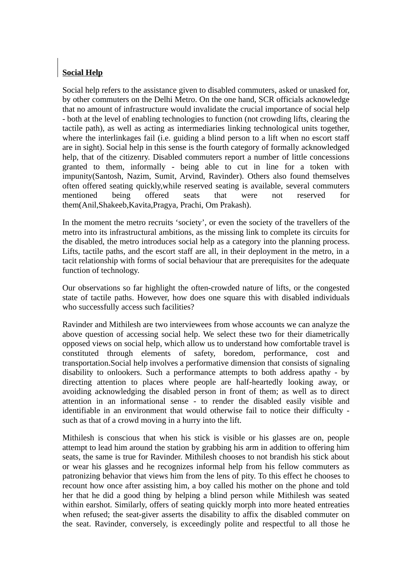## **Social Help**

Social help refers to the assistance given to disabled commuters, asked or unasked for, by other commuters on the Delhi Metro. On the one hand, SCR officials acknowledge that no amount of infrastructure would invalidate the crucial importance of social help - both at the level of enabling technologies to function (not crowding lifts, clearing the tactile path), as well as acting as intermediaries linking technological units together, where the interlinkages fail (i.e. guiding a blind person to a lift when no escort staff are in sight). Social help in this sense is the fourth category of formally acknowledged help, that of the citizenry. Disabled commuters report a number of little concessions granted to them, informally - being able to cut in line for a token with impunity(Santosh, Nazim, Sumit, Arvind, Ravinder). Others also found themselves often offered seating quickly,while reserved seating is available, several commuters mentioned being offered seats that were not reserved for them(Anil,Shakeeb,Kavita,Pragya, Prachi, Om Prakash).

In the moment the metro recruits 'society', or even the society of the travellers of the metro into its infrastructural ambitions, as the missing link to complete its circuits for the disabled, the metro introduces social help as a category into the planning process. Lifts, tactile paths, and the escort staff are all, in their deployment in the metro, in a tacit relationship with forms of social behaviour that are prerequisites for the adequate function of technology.

Our observations so far highlight the often-crowded nature of lifts, or the congested state of tactile paths. However, how does one square this with disabled individuals who successfully access such facilities?

Ravinder and Mithilesh are two interviewees from whose accounts we can analyze the above question of accessing social help. We select these two for their diametrically opposed views on social help, which allow us to understand how comfortable travel is constituted through elements of safety, boredom, performance, cost and transportation.Social help involves a performative dimension that consists of signaling disability to onlookers. Such a performance attempts to both address apathy - by directing attention to places where people are half-heartedly looking away, or avoiding acknowledging the disabled person in front of them; as well as to direct attention in an informational sense - to render the disabled easily visible and identifiable in an environment that would otherwise fail to notice their difficulty such as that of a crowd moving in a hurry into the lift.

Mithilesh is conscious that when his stick is visible or his glasses are on, people attempt to lead him around the station by grabbing his arm in addition to offering him seats, the same is true for Ravinder. Mithilesh chooses to not brandish his stick about or wear his glasses and he recognizes informal help from his fellow commuters as patronizing behavior that views him from the lens of pity. To this effect he chooses to recount how once after assisting him, a boy called his mother on the phone and told her that he did a good thing by helping a blind person while Mithilesh was seated within earshot. Similarly, offers of seating quickly morph into more heated entreaties when refused; the seat-giver asserts the disability to affix the disabled commuter on the seat. Ravinder, conversely, is exceedingly polite and respectful to all those he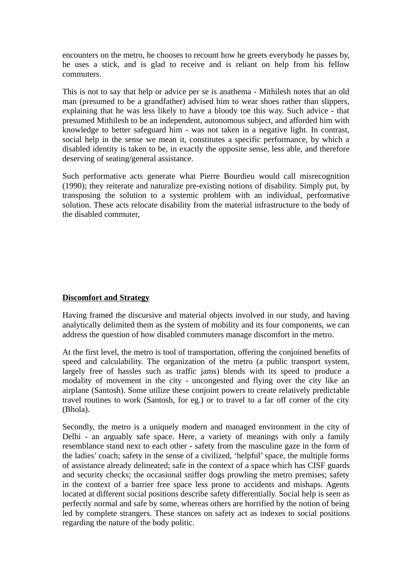encounters on the metro, he chooses to recount how he greets everybody he passes by, he uses a stick, and is glad to receive and is reliant on help from his fellow commuters.

This is not to say that help or advice per se is anathema - Mithilesh notes that an old man (presumed to be a grandfather) advised him to wear shoes rather than slippers, explaining that he was less likely to have a bloody toe this way. Such advice - that presumed Mithilesh to be an independent, autonomous subject, and afforded him with knowledge to better safeguard him - was not taken in a negative light. In contrast, social help in the sense we mean it, constitutes a specific performance, by which a disabled identity is taken to be, in exactly the opposite sense, less able, and therefore deserving of seating/general assistance.

Such performative acts generate what Pierre Bourdieu would call misrecognition (1990); they reiterate and naturalize pre-existing notions of disability. Simply put, by transposing the solution to a systemic problem with an individual, performative solution. These acts relocate disability from the material infrastructure to the body of the disabled commuter,

### **Discomfort and Strategy**

Having framed the discursive and material objects involved in our study, and having analytically delimited them as the system of mobility and its four components, we can address the question of how disabled commuters manage discomfort in the metro.

At the first level, the metro is tool of transportation, offering the conjoined benefits of speed and calculability. The organization of the metro (a public transport system, largely free of hassles such as traffic jams) blends with its speed to produce a modality of movement in the city - uncongested and flying over the city like an airplane (Santosh). Some utilize these conjoint powers to create relatively predictable travel routines to work (Santosh, for eg.) or to travel to a far off corner of the city (Bhola).

Secondly, the metro is a uniquely modern and managed environment in the city of Delhi - an arguably safe space. Here, a variety of meanings with only a family resemblance stand next to each other - safety from the masculine gaze in the form of the ladies' coach; safety in the sense of a civilized, 'helpful' space, the multiple forms of assistance already delineated; safe in the context of a space which has CISF guards and security checks; the occasional sniffer dogs prowling the metro premises; safety in the context of a barrier free space less prone to accidents and mishaps. Agents located at different social positions describe safety differentially. Social help is seen as perfectly normal and safe by some, whereas others are horrified by the notion of being led by complete strangers. These stances on safety act as indexes to social positions regarding the nature of the body politic.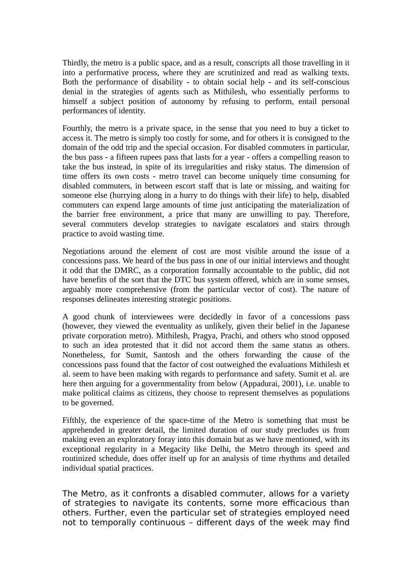Thirdly, the metro is a public space, and as a result, conscripts all those travelling in it into a performative process, where they are scrutinized and read as walking texts. Both the performance of disability - to obtain social help - and its self-conscious denial in the strategies of agents such as Mithilesh, who essentially performs to himself a subject position of autonomy by refusing to perform, entail personal performances of identity.

Fourthly, the metro is a private space, in the sense that you need to buy a ticket to access it. The metro is simply too costly for some, and for others it is consigned to the domain of the odd trip and the special occasion. For disabled commuters in particular, the bus pass - a fifteen rupees pass that lasts for a year - offers a compelling reason to take the bus instead, in spite of its irregularities and risky status. The dimension of time offers its own costs - metro travel can become uniquely time consuming for disabled commuters, in between escort staff that is late or missing, and waiting for someone else (hurrying along in a hurry to do things with their life) to help, disabled commuters can expend large amounts of time just anticipating the materialization of the barrier free environment, a price that many are unwilling to pay. Therefore, several commuters develop strategies to navigate escalators and stairs through practice to avoid wasting time.

Negotiations around the element of cost are most visible around the issue of a concessions pass. We heard of the bus pass in one of our initial interviews and thought it odd that the DMRC, as a corporation formally accountable to the public, did not have benefits of the sort that the DTC bus system offered, which are in some senses, arguably more comprehensive (from the particular vector of cost). The nature of responses delineates interesting strategic positions.

A good chunk of interviewees were decidedly in favor of a concessions pass (however, they viewed the eventuality as unlikely, given their belief in the Japanese private corporation metro). Mithilesh, Pragya, Prachi, and others who stood opposed to such an idea protested that it did not accord them the same status as others. Nonetheless, for Sumit, Santosh and the others forwarding the cause of the concessions pass found that the factor of cost outweighed the evaluations Mithilesh et al. seem to have been making with regards to performance and safety. Sumit et al. are here then arguing for a governmentality from below (Appadurai, 2001), i.e. unable to make political claims as citizens, they choose to represent themselves as populations to be governed.

Fifthly, the experience of the space-time of the Metro is something that must be apprehended in greater detail, the limited duration of our study precludes us from making even an exploratory foray into this domain but as we have mentioned, with its exceptional regularity in a Megacity like Delhi, the Metro through its speed and routinized schedule, does offer itself up for an analysis of time rhythms and detailed individual spatial practices.

The Metro, as it confronts a disabled commuter, allows for a variety of strategies to navigate its contents, some more efficacious than others. Further, even the particular set of strategies employed need not to temporally continuous – different days of the week may find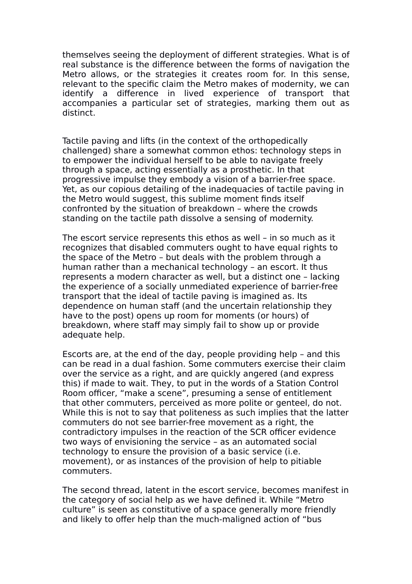themselves seeing the deployment of different strategies. What is of real substance is the difference between the forms of navigation the Metro allows, or the strategies it creates room for. In this sense, relevant to the specific claim the Metro makes of modernity, we can identify a difference in lived experience of transport that accompanies a particular set of strategies, marking them out as distinct.

Tactile paving and lifts (in the context of the orthopedically challenged) share a somewhat common ethos: technology steps in to empower the individual herself to be able to navigate freely through a space, acting essentially as a prosthetic. In that progressive impulse they embody a vision of a barrier-free space. Yet, as our copious detailing of the inadequacies of tactile paving in the Metro would suggest, this sublime moment finds itself confronted by the situation of breakdown – where the crowds standing on the tactile path dissolve a sensing of modernity.

The escort service represents this ethos as well – in so much as it recognizes that disabled commuters ought to have equal rights to the space of the Metro – but deals with the problem through a human rather than a mechanical technology – an escort. It thus represents a modern character as well, but a distinct one – lacking the experience of a socially unmediated experience of barrier-free transport that the ideal of tactile paving is imagined as. Its dependence on human staff (and the uncertain relationship they have to the post) opens up room for moments (or hours) of breakdown, where staff may simply fail to show up or provide adequate help.

Escorts are, at the end of the day, people providing help – and this can be read in a dual fashion. Some commuters exercise their claim over the service as a right, and are quickly angered (and express this) if made to wait. They, to put in the words of a Station Control Room officer, "make a scene", presuming a sense of entitlement that other commuters, perceived as more polite or genteel, do not. While this is not to say that politeness as such implies that the latter commuters do not see barrier-free movement as a right, the contradictory impulses in the reaction of the SCR officer evidence two ways of envisioning the service – as an automated social technology to ensure the provision of a basic service (i.e. movement), or as instances of the provision of help to pitiable commuters.

The second thread, latent in the escort service, becomes manifest in the category of social help as we have defined it. While "Metro culture" is seen as constitutive of a space generally more friendly and likely to offer help than the much-maligned action of "bus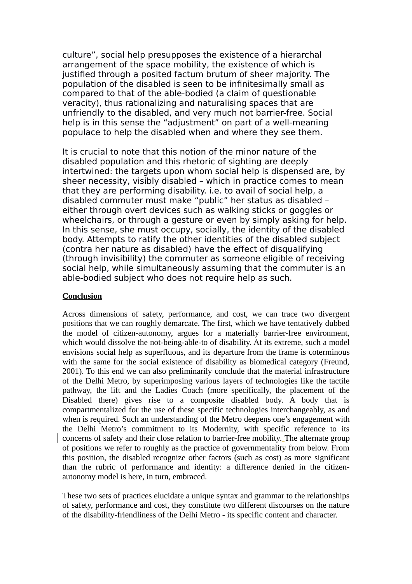culture", social help presupposes the existence of a hierarchal arrangement of the space mobility, the existence of which is justified through a posited factum brutum of sheer majority. The population of the disabled is seen to be infinitesimally small as compared to that of the able-bodied (a claim of questionable veracity), thus rationalizing and naturalising spaces that are unfriendly to the disabled, and very much not barrier-free. Social help is in this sense the "adjustment" on part of a well-meaning populace to help the disabled when and where they see them.

It is crucial to note that this notion of the minor nature of the disabled population and this rhetoric of sighting are deeply intertwined: the targets upon whom social help is dispensed are, by sheer necessity, visibly disabled – which in practice comes to mean that they are performing disability. i.e. to avail of social help, a disabled commuter must make "public" her status as disabled – either through overt devices such as walking sticks or goggles or wheelchairs, or through a gesture or even by simply asking for help. In this sense, she must occupy, socially, the identity of the disabled body. Attempts to ratify the other identities of the disabled subject (contra her nature as disabled) have the effect of disqualifying (through invisibility) the commuter as someone eligible of receiving social help, while simultaneously assuming that the commuter is an able-bodied subject who does not require help as such.

#### **Conclusion**

Across dimensions of safety, performance, and cost, we can trace two divergent positions that we can roughly demarcate. The first, which we have tentatively dubbed the model of citizen-autonomy, argues for a materially barrier-free environment, which would dissolve the not-being-able-to of disability. At its extreme, such a model envisions social help as superfluous, and its departure from the frame is coterminous with the same for the social existence of disability as biomedical category (Freund, 2001). To this end we can also preliminarily conclude that the material infrastructure of the Delhi Metro, by superimposing various layers of technologies like the tactile pathway, the lift and the Ladies Coach (more specifically, the placement of the Disabled there) gives rise to a composite disabled body. A body that is compartmentalized for the use of these specific technologies interchangeably, as and when is required. Such an understanding of the Metro deepens one's engagement with the Delhi Metro's commitment to its Modernity, with specific reference to its concerns of safety and their close relation to barrier-free mobility. The alternate group of positions we refer to roughly as the practice of governmentality from below. From this position, the disabled recognize other factors (such as cost) as more significant than the rubric of performance and identity: a difference denied in the citizenautonomy model is here, in turn, embraced.

These two sets of practices elucidate a unique syntax and grammar to the relationships of safety, performance and cost, they constitute two different discourses on the nature of the disability-friendliness of the Delhi Metro - its specific content and character.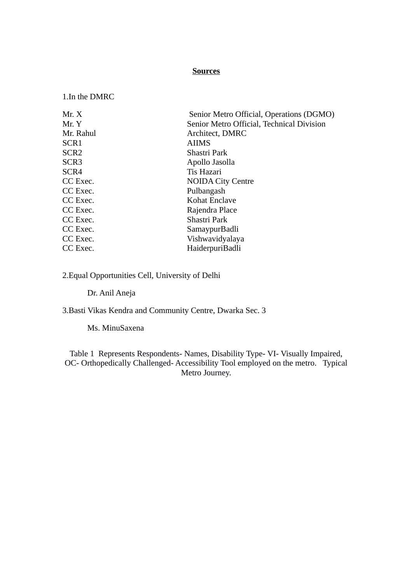#### **Sources**

1.In the DMRC

| Mr. X            | Senior Metro Official, Operations (DGMO)  |  |  |
|------------------|-------------------------------------------|--|--|
| Mr. Y            | Senior Metro Official, Technical Division |  |  |
| Mr. Rahul        | Architect, DMRC                           |  |  |
| SCR <sub>1</sub> | <b>AIIMS</b>                              |  |  |
| SCR <sub>2</sub> | Shastri Park                              |  |  |
| SCR <sub>3</sub> | Apollo Jasolla                            |  |  |
| SCR4             | Tis Hazari                                |  |  |
| CC Exec.         | <b>NOIDA City Centre</b>                  |  |  |
| CC Exec.         | Pulbangash                                |  |  |
| CC Exec.         | Kohat Enclave                             |  |  |
| CC Exec.         | Rajendra Place                            |  |  |
| CC Exec.         | Shastri Park                              |  |  |
| CC Exec.         | SamaypurBadli                             |  |  |
| CC Exec.         | Vishwavidyalaya                           |  |  |
| CC Exec.         | HaiderpuriBadli                           |  |  |

2.Equal Opportunities Cell, University of Delhi

Dr. Anil Aneja

3.Basti Vikas Kendra and Community Centre, Dwarka Sec. 3

Ms. MinuSaxena

Table 1 Represents Respondents- Names, Disability Type- VI- Visually Impaired, OC- Orthopedically Challenged- Accessibility Tool employed on the metro. Typical Metro Journey.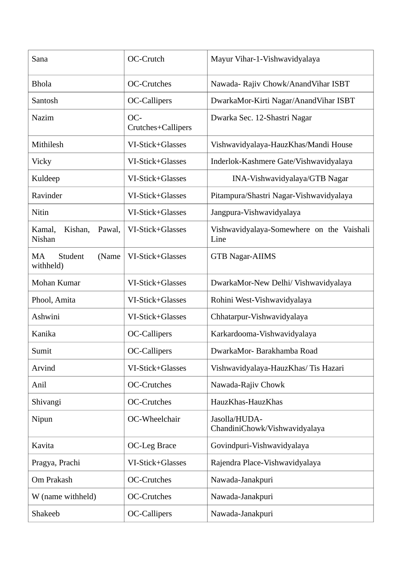| Sana                                  | OC-Crutch                 | Mayur Vihar-1-Vishwavidyalaya                     |
|---------------------------------------|---------------------------|---------------------------------------------------|
| <b>Bhola</b>                          | <b>OC-Crutches</b>        | Nawada- Rajiv Chowk/AnandVihar ISBT               |
| Santosh                               | OC-Callipers              | DwarkaMor-Kirti Nagar/AnandVihar ISBT             |
| Nazim                                 | OC-<br>Crutches+Callipers | Dwarka Sec. 12-Shastri Nagar                      |
| Mithilesh                             | VI-Stick+Glasses          | Vishwavidyalaya-HauzKhas/Mandi House              |
| Vicky                                 | VI-Stick+Glasses          | Inderlok-Kashmere Gate/Vishwavidyalaya            |
| Kuldeep                               | VI-Stick+Glasses          | INA-Vishwavidyalaya/GTB Nagar                     |
| Ravinder                              | VI-Stick+Glasses          | Pitampura/Shastri Nagar-Vishwavidyalaya           |
| Nitin                                 | VI-Stick+Glasses          | Jangpura-Vishwavidyalaya                          |
| Kamal,<br>Kishan,<br>Pawal,<br>Nishan | VI-Stick+Glasses          | Vishwavidyalaya-Somewhere on the Vaishali<br>Line |
| Student<br>MA<br>(Name<br>withheld)   | VI-Stick+Glasses          | <b>GTB Nagar-AIIMS</b>                            |
| Mohan Kumar                           | VI-Stick+Glasses          | DwarkaMor-New Delhi/ Vishwavidyalaya              |
| Phool, Amita                          | VI-Stick+Glasses          | Rohini West-Vishwavidyalaya                       |
| Ashwini                               | VI-Stick+Glasses          | Chhatarpur-Vishwavidyalaya                        |
| Kanika                                | OC-Callipers              | Karkardooma-Vishwavidyalaya                       |
| Sumit                                 | OC-Callipers              | DwarkaMor-Barakhamba Road                         |
| Arvind                                | VI-Stick+Glasses          | Vishwavidyalaya-HauzKhas/Tis Hazari               |
| Anil                                  | OC-Crutches               | Nawada-Rajiv Chowk                                |
| Shivangi                              | OC-Crutches               | HauzKhas-HauzKhas                                 |
| Nipun                                 | OC-Wheelchair             | Jasolla/HUDA-<br>ChandiniChowk/Vishwavidyalaya    |
| Kavita                                | OC-Leg Brace              | Govindpuri-Vishwavidyalaya                        |
| Pragya, Prachi                        | VI-Stick+Glasses          | Rajendra Place-Vishwavidyalaya                    |
| Om Prakash                            | <b>OC-Crutches</b>        | Nawada-Janakpuri                                  |
| W (name withheld)                     | OC-Crutches               | Nawada-Janakpuri                                  |
| Shakeeb                               | OC-Callipers              | Nawada-Janakpuri                                  |